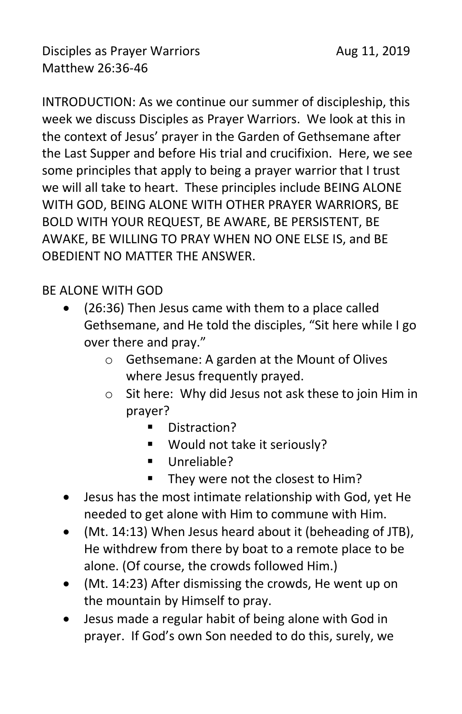Disciples as Prayer Warriors **Aug 11, 2019** Matthew 26:36-46

INTRODUCTION: As we continue our summer of discipleship, this week we discuss Disciples as Prayer Warriors. We look at this in the context of Jesus' prayer in the Garden of Gethsemane after the Last Supper and before His trial and crucifixion. Here, we see some principles that apply to being a prayer warrior that I trust we will all take to heart. These principles include BEING ALONE WITH GOD, BEING ALONE WITH OTHER PRAYER WARRIORS, BE BOLD WITH YOUR REQUEST, BE AWARE, BE PERSISTENT, BE AWAKE, BE WILLING TO PRAY WHEN NO ONE ELSE IS, and BE OBEDIENT NO MATTER THE ANSWER.

## BE ALONE WITH GOD

- (26:36) Then Jesus came with them to a place called Gethsemane, and He told the disciples, "Sit here while I go over there and pray."
	- o Gethsemane: A garden at the Mount of Olives where Jesus frequently prayed.
	- o Sit here: Why did Jesus not ask these to join Him in prayer?
		- Distraction?
		- Would not take it seriously?
		- Unreliable?
		- They were not the closest to Him?
- Jesus has the most intimate relationship with God, yet He needed to get alone with Him to commune with Him.
- (Mt. 14:13) When Jesus heard about it (beheading of JTB), He withdrew from there by boat to a remote place to be alone. (Of course, the crowds followed Him.)
- (Mt. 14:23) After dismissing the crowds, He went up on the mountain by Himself to pray.
- Jesus made a regular habit of being alone with God in prayer. If God's own Son needed to do this, surely, we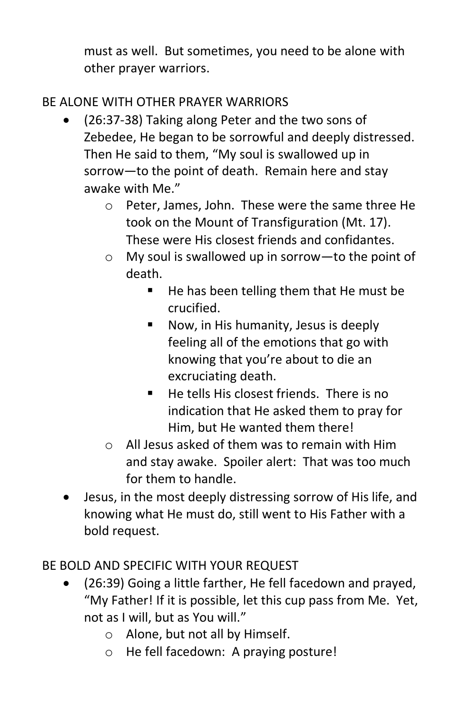must as well. But sometimes, you need to be alone with other prayer warriors.

# BE ALONE WITH OTHER PRAYER WARRIORS

- (26:37-38) Taking along Peter and the two sons of Zebedee, He began to be sorrowful and deeply distressed. Then He said to them, "My soul is swallowed up in sorrow—to the point of death. Remain here and stay awake with Me."
	- o Peter, James, John. These were the same three He took on the Mount of Transfiguration (Mt. 17). These were His closest friends and confidantes.
	- o My soul is swallowed up in sorrow—to the point of death.
		- He has been telling them that He must be crucified.
		- Now, in His humanity, Jesus is deeply feeling all of the emotions that go with knowing that you're about to die an excruciating death.
		- $\blacksquare$  He tells His closest friends. There is no indication that He asked them to pray for Him, but He wanted them there!
	- o All Jesus asked of them was to remain with Him and stay awake. Spoiler alert: That was too much for them to handle.
- Jesus, in the most deeply distressing sorrow of His life, and knowing what He must do, still went to His Father with a bold request.

# BE BOLD AND SPECIFIC WITH YOUR REQUEST

- (26:39) Going a little farther, He fell facedown and prayed, "My Father! If it is possible, let this cup pass from Me. Yet, not as I will, but as You will."
	- o Alone, but not all by Himself.
	- o He fell facedown: A praying posture!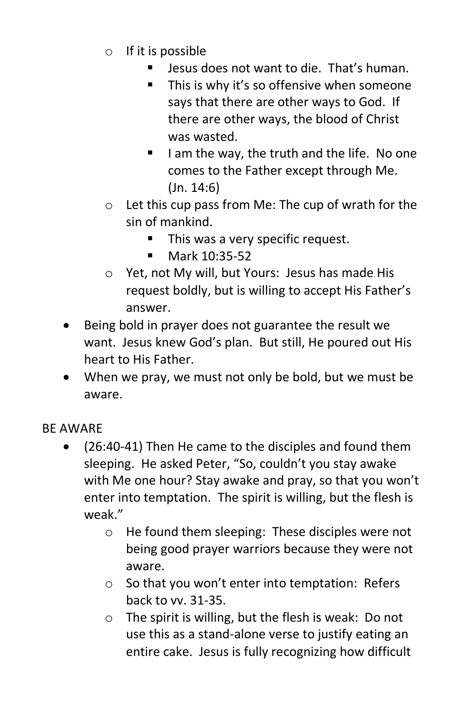- $\circ$  If it is possible
	- Jesus does not want to die. That's human.
	- This is why it's so offensive when someone says that there are other ways to God. If there are other ways, the blood of Christ was wasted.
	- I am the way, the truth and the life. No one comes to the Father except through Me. (Jn. 14:6)
- o Let this cup pass from Me: The cup of wrath for the sin of mankind.
	- This was a very specific request.
	- Mark 10:35-52
- o Yet, not My will, but Yours: Jesus has made His request boldly, but is willing to accept His Father's answer.
- Being bold in prayer does not guarantee the result we want. Jesus knew God's plan. But still, He poured out His heart to His Father.
- When we pray, we must not only be bold, but we must be aware.

#### BE AWARE

- (26:40-41) Then He came to the disciples and found them sleeping. He asked Peter, "So, couldn't you stay awake with Me one hour? Stay awake and pray, so that you won't enter into temptation. The spirit is willing, but the flesh is weak."
	- o He found them sleeping: These disciples were not being good prayer warriors because they were not aware.
	- o So that you won't enter into temptation: Refers back to vv. 31-35.
	- o The spirit is willing, but the flesh is weak: Do not use this as a stand-alone verse to justify eating an entire cake. Jesus is fully recognizing how difficult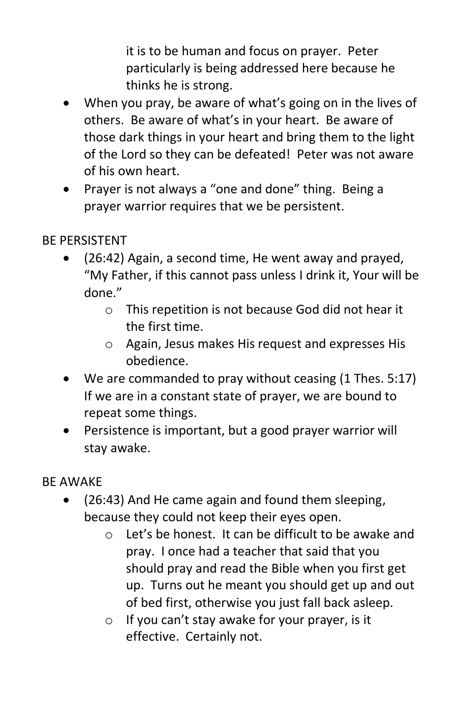it is to be human and focus on prayer. Peter particularly is being addressed here because he thinks he is strong.

- When you pray, be aware of what's going on in the lives of others. Be aware of what's in your heart. Be aware of those dark things in your heart and bring them to the light of the Lord so they can be defeated! Peter was not aware of his own heart.
- Prayer is not always a "one and done" thing. Being a prayer warrior requires that we be persistent.

## BE PERSISTENT

- (26:42) Again, a second time, He went away and prayed, "My Father, if this cannot pass unless I drink it, Your will be done."
	- o This repetition is not because God did not hear it the first time.
	- o Again, Jesus makes His request and expresses His obedience.
- We are commanded to pray without ceasing (1 Thes. 5:17) If we are in a constant state of prayer, we are bound to repeat some things.
- Persistence is important, but a good prayer warrior will stay awake.

## BE AWAKE

- (26:43) And He came again and found them sleeping, because they could not keep their eyes open.
	- o Let's be honest. It can be difficult to be awake and pray. I once had a teacher that said that you should pray and read the Bible when you first get up. Turns out he meant you should get up and out of bed first, otherwise you just fall back asleep.
	- o If you can't stay awake for your prayer, is it effective. Certainly not.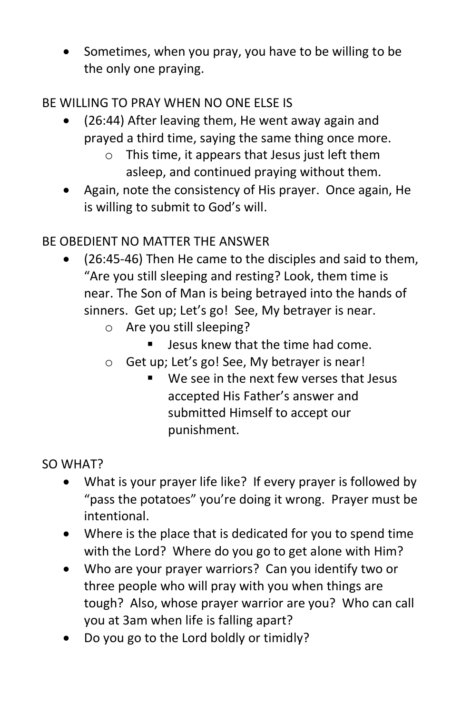• Sometimes, when you pray, you have to be willing to be the only one praying.

## BE WILLING TO PRAY WHEN NO ONE ELSE IS

- (26:44) After leaving them, He went away again and prayed a third time, saying the same thing once more.
	- o This time, it appears that Jesus just left them asleep, and continued praying without them.
- Again, note the consistency of His prayer. Once again, He is willing to submit to God's will.

# BE OBEDIENT NO MATTER THE ANSWER

- (26:45-46) Then He came to the disciples and said to them, "Are you still sleeping and resting? Look, them time is near. The Son of Man is being betrayed into the hands of sinners. Get up; Let's go! See, My betrayer is near.
	- o Are you still sleeping?
		- Jesus knew that the time had come.
	- o Get up; Let's go! See, My betrayer is near!
		- We see in the next few verses that Jesus accepted His Father's answer and submitted Himself to accept our punishment.

## SO WHAT?

- What is your prayer life like? If every prayer is followed by "pass the potatoes" you're doing it wrong. Prayer must be intentional.
- Where is the place that is dedicated for you to spend time with the Lord? Where do you go to get alone with Him?
- Who are your prayer warriors? Can you identify two or three people who will pray with you when things are tough? Also, whose prayer warrior are you? Who can call you at 3am when life is falling apart?
- Do you go to the Lord boldly or timidly?